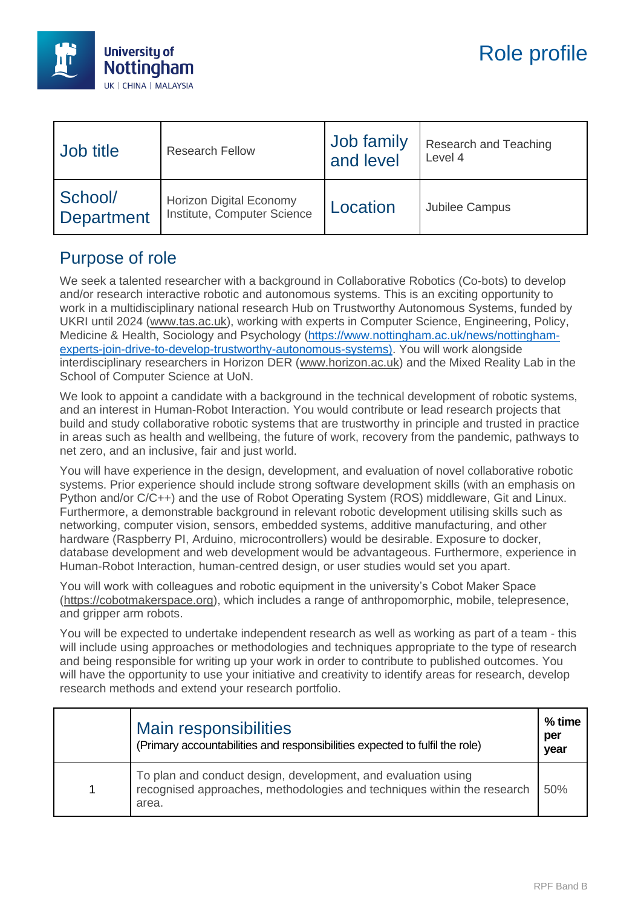

| <b>Job title</b>             | <b>Research Fellow</b>                                        | Job family<br>and level | Research and Teaching<br>Level 4 |
|------------------------------|---------------------------------------------------------------|-------------------------|----------------------------------|
| School/<br><b>Department</b> | <b>Horizon Digital Economy</b><br>Institute, Computer Science | Location                | Jubilee Campus                   |

## Purpose of role

We seek a talented researcher with a background in Collaborative Robotics (Co-bots) to develop and/or research interactive robotic and autonomous systems. This is an exciting opportunity to work in a multidisciplinary national research Hub on Trustworthy Autonomous Systems, funded by UKRI until 2024 [\(www.tas.ac.uk\)](http://www.tas.ac.uk/), working with experts in Computer Science, Engineering, Policy, Medicine & Health, Sociology and Psychology [\(https://www.nottingham.ac.uk/news/nottingham](https://www.nottingham.ac.uk/news/nottingham-experts-join-drive-to-develop-trustworthy-autonomous-systems)[experts-join-drive-to-develop-trustworthy-autonomous-systems\)](https://www.nottingham.ac.uk/news/nottingham-experts-join-drive-to-develop-trustworthy-autonomous-systems). You will work alongside interdisciplinary researchers in Horizon DER [\(www.horizon.ac.uk\)](http://www.horizon.ac.uk/) and the Mixed Reality Lab in the School of Computer Science at UoN.

We look to appoint a candidate with a background in the technical development of robotic systems, and an interest in Human-Robot Interaction. You would contribute or lead research projects that build and study collaborative robotic systems that are trustworthy in principle and trusted in practice in areas such as health and wellbeing, the future of work, recovery from the pandemic, pathways to net zero, and an inclusive, fair and just world.

You will have experience in the design, development, and evaluation of novel collaborative robotic systems. Prior experience should include strong software development skills (with an emphasis on Python and/or C/C++) and the use of Robot Operating System (ROS) middleware, Git and Linux. Furthermore, a demonstrable background in relevant robotic development utilising skills such as networking, computer vision, sensors, embedded systems, additive manufacturing, and other hardware (Raspberry PI, Arduino, microcontrollers) would be desirable. Exposure to docker, database development and web development would be advantageous. Furthermore, experience in Human-Robot Interaction, human-centred design, or user studies would set you apart.

You will work with colleagues and robotic equipment in the university's Cobot Maker Space [\(https://cobotmakerspace.org\)](https://cobotmakerspace.org/), which includes a range of anthropomorphic, mobile, telepresence, and gripper arm robots.

You will be expected to undertake independent research as well as working as part of a team - this will include using approaches or methodologies and techniques appropriate to the type of research and being responsible for writing up your work in order to contribute to published outcomes. You will have the opportunity to use your initiative and creativity to identify areas for research, develop research methods and extend your research portfolio.

| Main responsibilities<br>(Primary accountabilities and responsibilities expected to fulfil the role)                                              | % time<br>per<br>year |
|---------------------------------------------------------------------------------------------------------------------------------------------------|-----------------------|
| To plan and conduct design, development, and evaluation using<br>recognised approaches, methodologies and techniques within the research<br>area. | 50%                   |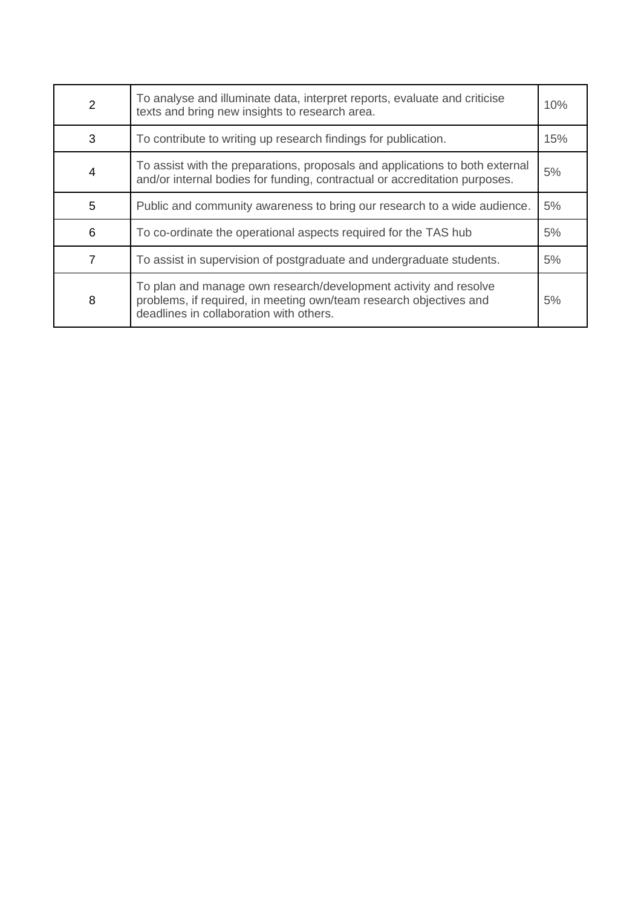| 2 | To analyse and illuminate data, interpret reports, evaluate and criticise<br>texts and bring new insights to research area.                                                       |    |
|---|-----------------------------------------------------------------------------------------------------------------------------------------------------------------------------------|----|
| 3 | To contribute to writing up research findings for publication.                                                                                                                    |    |
| 4 | To assist with the preparations, proposals and applications to both external<br>and/or internal bodies for funding, contractual or accreditation purposes.                        |    |
| 5 | Public and community awareness to bring our research to a wide audience.                                                                                                          |    |
| 6 | To co-ordinate the operational aspects required for the TAS hub                                                                                                                   |    |
| 7 | To assist in supervision of postgraduate and undergraduate students.                                                                                                              | 5% |
| 8 | To plan and manage own research/development activity and resolve<br>problems, if required, in meeting own/team research objectives and<br>deadlines in collaboration with others. | 5% |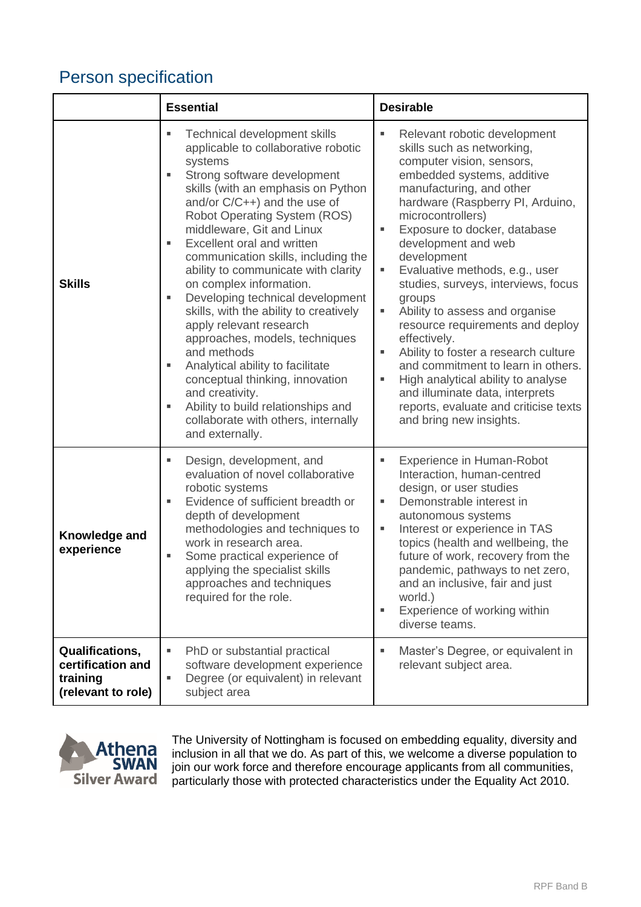## Person specification

|                                                                        | <b>Essential</b>                                                                                                                                                                                                                                                                                                                                                                                                                                                                                                                                                                                                                                                                                                                                                                           | <b>Desirable</b>                                                                                                                                                                                                                                                                                                                                                                                                                                                                                                                                                                                                                                                                                                   |
|------------------------------------------------------------------------|--------------------------------------------------------------------------------------------------------------------------------------------------------------------------------------------------------------------------------------------------------------------------------------------------------------------------------------------------------------------------------------------------------------------------------------------------------------------------------------------------------------------------------------------------------------------------------------------------------------------------------------------------------------------------------------------------------------------------------------------------------------------------------------------|--------------------------------------------------------------------------------------------------------------------------------------------------------------------------------------------------------------------------------------------------------------------------------------------------------------------------------------------------------------------------------------------------------------------------------------------------------------------------------------------------------------------------------------------------------------------------------------------------------------------------------------------------------------------------------------------------------------------|
| <b>Skills</b>                                                          | <b>Technical development skills</b><br>ш<br>applicable to collaborative robotic<br>systems<br>Strong software development<br>٠<br>skills (with an emphasis on Python<br>and/or $C/C++$ ) and the use of<br><b>Robot Operating System (ROS)</b><br>middleware, Git and Linux<br>Excellent oral and written<br>ш<br>communication skills, including the<br>ability to communicate with clarity<br>on complex information.<br>Developing technical development<br>ш<br>skills, with the ability to creatively<br>apply relevant research<br>approaches, models, techniques<br>and methods<br>Analytical ability to facilitate<br>ш<br>conceptual thinking, innovation<br>and creativity.<br>Ability to build relationships and<br>ш<br>collaborate with others, internally<br>and externally. | Relevant robotic development<br>٠<br>skills such as networking,<br>computer vision, sensors,<br>embedded systems, additive<br>manufacturing, and other<br>hardware (Raspberry PI, Arduino,<br>microcontrollers)<br>Exposure to docker, database<br>٠<br>development and web<br>development<br>Evaluative methods, e.g., user<br>٠<br>studies, surveys, interviews, focus<br>groups<br>Ability to assess and organise<br>٠<br>resource requirements and deploy<br>effectively.<br>Ability to foster a research culture<br>٠<br>and commitment to learn in others.<br>High analytical ability to analyse<br>٠<br>and illuminate data, interprets<br>reports, evaluate and criticise texts<br>and bring new insights. |
| Knowledge and<br>experience                                            | Design, development, and<br>ш<br>evaluation of novel collaborative<br>robotic systems<br>Evidence of sufficient breadth or<br>ш<br>depth of development<br>methodologies and techniques to<br>work in research area.<br>Some practical experience of<br>Е<br>applying the specialist skills<br>approaches and techniques<br>required for the role.                                                                                                                                                                                                                                                                                                                                                                                                                                         | <b>Experience in Human-Robot</b><br>Interaction, human-centred<br>design, or user studies<br>Demonstrable interest in<br>٠<br>autonomous systems<br>Interest or experience in TAS<br>٠<br>topics (health and wellbeing, the<br>future of work, recovery from the<br>pandemic, pathways to net zero,<br>and an inclusive, fair and just<br>world.)<br>Experience of working within<br>٠<br>diverse teams.                                                                                                                                                                                                                                                                                                           |
| Qualifications,<br>certification and<br>training<br>(relevant to role) | PhD or substantial practical<br>ш<br>software development experience<br>Degree (or equivalent) in relevant<br>g,<br>subject area                                                                                                                                                                                                                                                                                                                                                                                                                                                                                                                                                                                                                                                           | Master's Degree, or equivalent in<br>٠<br>relevant subject area.                                                                                                                                                                                                                                                                                                                                                                                                                                                                                                                                                                                                                                                   |



The University of Nottingham is focused on embedding equality, diversity and inclusion in all that we do. As part of this, we welcome a diverse population to join our work force and therefore encourage applicants from all communities, particularly those with protected characteristics under the Equality Act 2010.